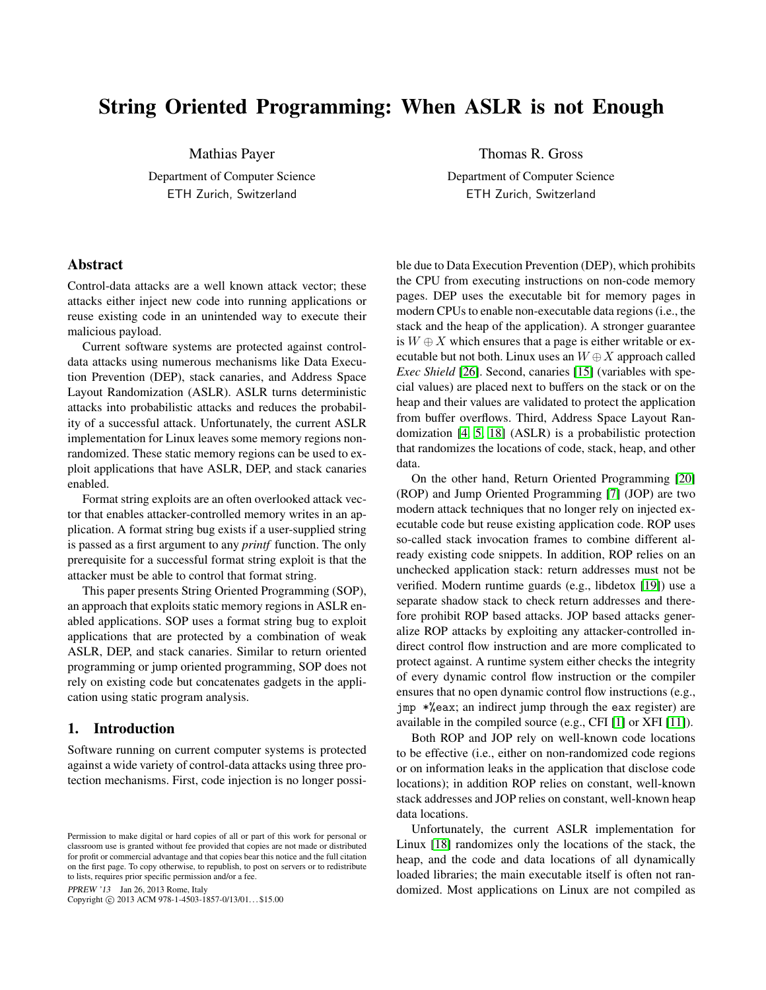# String Oriented Programming: When ASLR is not Enough

Mathias Payer

Department of Computer Science ETH Zurich, Switzerland

Thomas R. Gross

Department of Computer Science ETH Zurich, Switzerland

# Abstract

Control-data attacks are a well known attack vector; these attacks either inject new code into running applications or reuse existing code in an unintended way to execute their malicious payload.

Current software systems are protected against controldata attacks using numerous mechanisms like Data Execution Prevention (DEP), stack canaries, and Address Space Layout Randomization (ASLR). ASLR turns deterministic attacks into probabilistic attacks and reduces the probability of a successful attack. Unfortunately, the current ASLR implementation for Linux leaves some memory regions nonrandomized. These static memory regions can be used to exploit applications that have ASLR, DEP, and stack canaries enabled.

Format string exploits are an often overlooked attack vector that enables attacker-controlled memory writes in an application. A format string bug exists if a user-supplied string is passed as a first argument to any *printf* function. The only prerequisite for a successful format string exploit is that the attacker must be able to control that format string.

This paper presents String Oriented Programming (SOP), an approach that exploits static memory regions in ASLR enabled applications. SOP uses a format string bug to exploit applications that are protected by a combination of weak ASLR, DEP, and stack canaries. Similar to return oriented programming or jump oriented programming, SOP does not rely on existing code but concatenates gadgets in the application using static program analysis.

# 1. Introduction

Software running on current computer systems is protected against a wide variety of control-data attacks using three protection mechanisms. First, code injection is no longer possi-

PPREW '13 Jan 26, 2013 Rome, Italy

Copyright © 2013 ACM 978-1-4503-1857-0/13/01... \$15.00

ble due to Data Execution Prevention (DEP), which prohibits the CPU from executing instructions on non-code memory pages. DEP uses the executable bit for memory pages in modern CPUs to enable non-executable data regions (i.e., the stack and the heap of the application). A stronger guarantee is  $W \oplus X$  which ensures that a page is either writable or executable but not both. Linux uses an  $W \oplus X$  approach called *Exec Shield* [\[26\]](#page-8-0). Second, canaries [\[15\]](#page-8-1) (variables with special values) are placed next to buffers on the stack or on the heap and their values are validated to protect the application from buffer overflows. Third, Address Space Layout Randomization [\[4,](#page-8-2) [5,](#page-8-3) [18\]](#page-8-4) (ASLR) is a probabilistic protection that randomizes the locations of code, stack, heap, and other data.

On the other hand, Return Oriented Programming [\[20\]](#page-8-5) (ROP) and Jump Oriented Programming [\[7\]](#page-8-6) (JOP) are two modern attack techniques that no longer rely on injected executable code but reuse existing application code. ROP uses so-called stack invocation frames to combine different already existing code snippets. In addition, ROP relies on an unchecked application stack: return addresses must not be verified. Modern runtime guards (e.g., libdetox [\[19\]](#page-8-7)) use a separate shadow stack to check return addresses and therefore prohibit ROP based attacks. JOP based attacks generalize ROP attacks by exploiting any attacker-controlled indirect control flow instruction and are more complicated to protect against. A runtime system either checks the integrity of every dynamic control flow instruction or the compiler ensures that no open dynamic control flow instructions (e.g., jmp \*%eax; an indirect jump through the eax register) are available in the compiled source (e.g., CFI [\[1\]](#page-8-8) or XFI [\[11\]](#page-8-9)).

Both ROP and JOP rely on well-known code locations to be effective (i.e., either on non-randomized code regions or on information leaks in the application that disclose code locations); in addition ROP relies on constant, well-known stack addresses and JOP relies on constant, well-known heap data locations.

Unfortunately, the current ASLR implementation for Linux [\[18\]](#page-8-4) randomizes only the locations of the stack, the heap, and the code and data locations of all dynamically loaded libraries; the main executable itself is often not randomized. Most applications on Linux are not compiled as

Permission to make digital or hard copies of all or part of this work for personal or classroom use is granted without fee provided that copies are not made or distributed for profit or commercial advantage and that copies bear this notice and the full citation on the first page. To copy otherwise, to republish, to post on servers or to redistribute to lists, requires prior specific permission and/or a fee.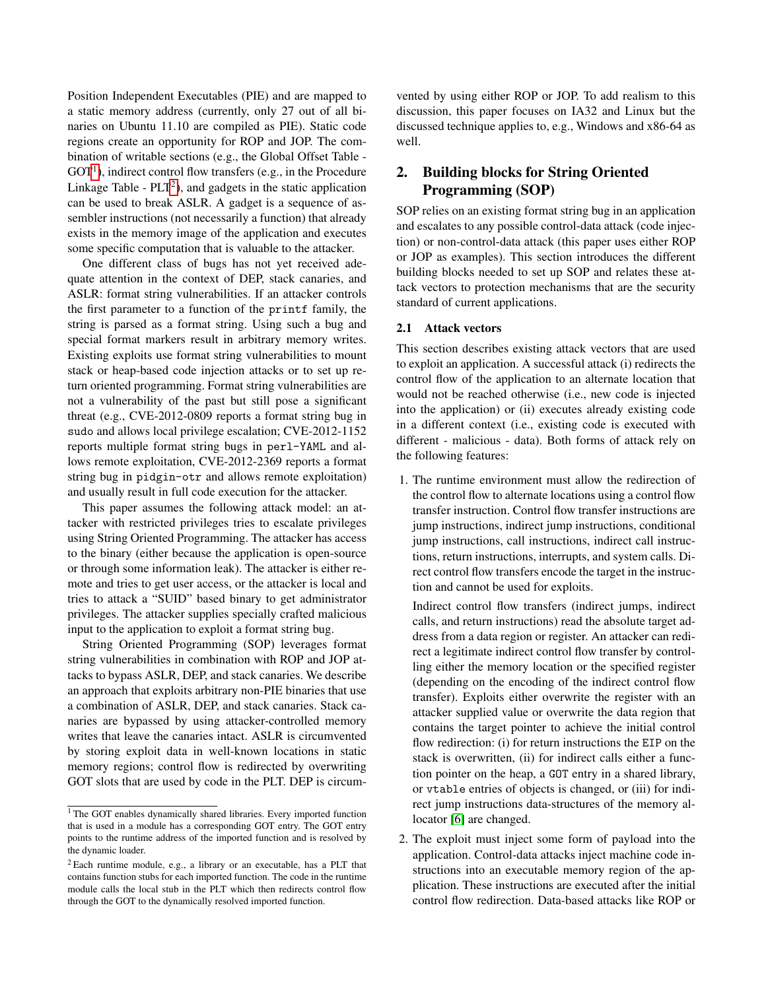Position Independent Executables (PIE) and are mapped to a static memory address (currently, only 27 out of all binaries on Ubuntu 11.10 are compiled as PIE). Static code regions create an opportunity for ROP and JOP. The combination of writable sections (e.g., the Global Offset Table -  $GOT<sup>1</sup>$  $GOT<sup>1</sup>$  $GOT<sup>1</sup>$ ), indirect control flow transfers (e.g., in the Procedure Linkage Table -  $PLT<sup>2</sup>$  $PLT<sup>2</sup>$  $PLT<sup>2</sup>$ ), and gadgets in the static application can be used to break ASLR. A gadget is a sequence of assembler instructions (not necessarily a function) that already exists in the memory image of the application and executes some specific computation that is valuable to the attacker.

One different class of bugs has not yet received adequate attention in the context of DEP, stack canaries, and ASLR: format string vulnerabilities. If an attacker controls the first parameter to a function of the printf family, the string is parsed as a format string. Using such a bug and special format markers result in arbitrary memory writes. Existing exploits use format string vulnerabilities to mount stack or heap-based code injection attacks or to set up return oriented programming. Format string vulnerabilities are not a vulnerability of the past but still pose a significant threat (e.g., CVE-2012-0809 reports a format string bug in sudo and allows local privilege escalation; CVE-2012-1152 reports multiple format string bugs in perl-YAML and allows remote exploitation, CVE-2012-2369 reports a format string bug in pidgin-otr and allows remote exploitation) and usually result in full code execution for the attacker.

This paper assumes the following attack model: an attacker with restricted privileges tries to escalate privileges using String Oriented Programming. The attacker has access to the binary (either because the application is open-source or through some information leak). The attacker is either remote and tries to get user access, or the attacker is local and tries to attack a "SUID" based binary to get administrator privileges. The attacker supplies specially crafted malicious input to the application to exploit a format string bug.

String Oriented Programming (SOP) leverages format string vulnerabilities in combination with ROP and JOP attacks to bypass ASLR, DEP, and stack canaries. We describe an approach that exploits arbitrary non-PIE binaries that use a combination of ASLR, DEP, and stack canaries. Stack canaries are bypassed by using attacker-controlled memory writes that leave the canaries intact. ASLR is circumvented by storing exploit data in well-known locations in static memory regions; control flow is redirected by overwriting GOT slots that are used by code in the PLT. DEP is circum-

vented by using either ROP or JOP. To add realism to this discussion, this paper focuses on IA32 and Linux but the discussed technique applies to, e.g., Windows and x86-64 as well.

# 2. Building blocks for String Oriented Programming (SOP)

SOP relies on an existing format string bug in an application and escalates to any possible control-data attack (code injection) or non-control-data attack (this paper uses either ROP or JOP as examples). This section introduces the different building blocks needed to set up SOP and relates these attack vectors to protection mechanisms that are the security standard of current applications.

# 2.1 Attack vectors

This section describes existing attack vectors that are used to exploit an application. A successful attack (i) redirects the control flow of the application to an alternate location that would not be reached otherwise (i.e., new code is injected into the application) or (ii) executes already existing code in a different context (i.e., existing code is executed with different - malicious - data). Both forms of attack rely on the following features:

1. The runtime environment must allow the redirection of the control flow to alternate locations using a control flow transfer instruction. Control flow transfer instructions are jump instructions, indirect jump instructions, conditional jump instructions, call instructions, indirect call instructions, return instructions, interrupts, and system calls. Direct control flow transfers encode the target in the instruction and cannot be used for exploits.

Indirect control flow transfers (indirect jumps, indirect calls, and return instructions) read the absolute target address from a data region or register. An attacker can redirect a legitimate indirect control flow transfer by controlling either the memory location or the specified register (depending on the encoding of the indirect control flow transfer). Exploits either overwrite the register with an attacker supplied value or overwrite the data region that contains the target pointer to achieve the initial control flow redirection: (i) for return instructions the EIP on the stack is overwritten, (ii) for indirect calls either a function pointer on the heap, a GOT entry in a shared library, or vtable entries of objects is changed, or (iii) for indirect jump instructions data-structures of the memory allocator [\[6\]](#page-8-10) are changed.

2. The exploit must inject some form of payload into the application. Control-data attacks inject machine code instructions into an executable memory region of the application. These instructions are executed after the initial control flow redirection. Data-based attacks like ROP or

<span id="page-1-0"></span><sup>&</sup>lt;sup>1</sup> The GOT enables dynamically shared libraries. Every imported function that is used in a module has a corresponding GOT entry. The GOT entry points to the runtime address of the imported function and is resolved by the dynamic loader.

<span id="page-1-1"></span><sup>2</sup> Each runtime module, e.g., a library or an executable, has a PLT that contains function stubs for each imported function. The code in the runtime module calls the local stub in the PLT which then redirects control flow through the GOT to the dynamically resolved imported function.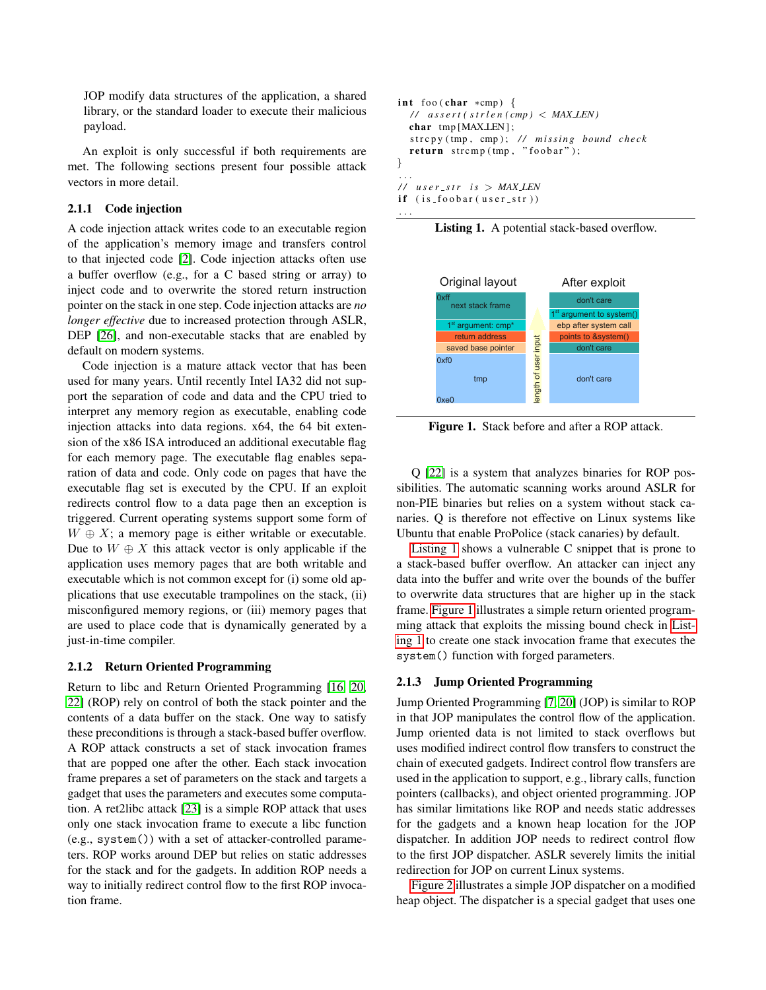JOP modify data structures of the application, a shared library, or the standard loader to execute their malicious payload.

An exploit is only successful if both requirements are met. The following sections present four possible attack vectors in more detail.

# <span id="page-2-2"></span>2.1.1 Code injection

A code injection attack writes code to an executable region of the application's memory image and transfers control to that injected code [\[2\]](#page-8-11). Code injection attacks often use a buffer overflow (e.g., for a C based string or array) to inject code and to overwrite the stored return instruction pointer on the stack in one step. Code injection attacks are *no longer effective* due to increased protection through ASLR, DEP [\[26\]](#page-8-0), and non-executable stacks that are enabled by default on modern systems.

Code injection is a mature attack vector that has been used for many years. Until recently Intel IA32 did not support the separation of code and data and the CPU tried to interpret any memory region as executable, enabling code injection attacks into data regions. x64, the 64 bit extension of the x86 ISA introduced an additional executable flag for each memory page. The executable flag enables separation of data and code. Only code on pages that have the executable flag set is executed by the CPU. If an exploit redirects control flow to a data page then an exception is triggered. Current operating systems support some form of  $W \oplus X$ ; a memory page is either writable or executable. Due to  $W \oplus X$  this attack vector is only applicable if the application uses memory pages that are both writable and executable which is not common except for (i) some old applications that use executable trampolines on the stack, (ii) misconfigured memory regions, or (iii) memory pages that are used to place code that is dynamically generated by a just-in-time compiler.

#### <span id="page-2-3"></span>2.1.2 Return Oriented Programming

Return to libc and Return Oriented Programming [\[16,](#page-8-12) [20,](#page-8-5) [22\]](#page-8-13) (ROP) rely on control of both the stack pointer and the contents of a data buffer on the stack. One way to satisfy these preconditions is through a stack-based buffer overflow. A ROP attack constructs a set of stack invocation frames that are popped one after the other. Each stack invocation frame prepares a set of parameters on the stack and targets a gadget that uses the parameters and executes some computation. A ret2libc attack [\[23\]](#page-8-14) is a simple ROP attack that uses only one stack invocation frame to execute a libc function (e.g., system()) with a set of attacker-controlled parameters. ROP works around DEP but relies on static addresses for the stack and for the gadgets. In addition ROP needs a way to initially redirect control flow to the first ROP invocation frame.

```
int foo (char *emp) {
  \frac{1}{4} assert (strlen (cmp) < MAX_LEN)
  char tmp [MAX_LEN];
   s t r c p y ( tmp , cmp ) ; / / m i s s i n g bound c h e c k
   return strcmp (tmp, "foobar");
}
. . .
/ / u s e r s t r i s > MAX LEN
if ( is_foobar ( user_str ))
. . .
```
Listing 1. A potential stack-based overflow.



<span id="page-2-1"></span>Figure 1. Stack before and after a ROP attack.

Q [\[22\]](#page-8-13) is a system that analyzes binaries for ROP possibilities. The automatic scanning works around ASLR for non-PIE binaries but relies on a system without stack canaries. Q is therefore not effective on Linux systems like Ubuntu that enable ProPolice (stack canaries) by default.

[Listing 1](#page-2-0) shows a vulnerable C snippet that is prone to a stack-based buffer overflow. An attacker can inject any data into the buffer and write over the bounds of the buffer to overwrite data structures that are higher up in the stack frame. [Figure 1](#page-2-1) illustrates a simple return oriented programming attack that exploits the missing bound check in [List](#page-2-0)[ing 1](#page-2-0) to create one stack invocation frame that executes the system() function with forged parameters.

#### <span id="page-2-4"></span>2.1.3 Jump Oriented Programming

Jump Oriented Programming [\[7,](#page-8-6) [20\]](#page-8-5) (JOP) is similar to ROP in that JOP manipulates the control flow of the application. Jump oriented data is not limited to stack overflows but uses modified indirect control flow transfers to construct the chain of executed gadgets. Indirect control flow transfers are used in the application to support, e.g., library calls, function pointers (callbacks), and object oriented programming. JOP has similar limitations like ROP and needs static addresses for the gadgets and a known heap location for the JOP dispatcher. In addition JOP needs to redirect control flow to the first JOP dispatcher. ASLR severely limits the initial redirection for JOP on current Linux systems.

[Figure 2](#page-3-0) illustrates a simple JOP dispatcher on a modified heap object. The dispatcher is a special gadget that uses one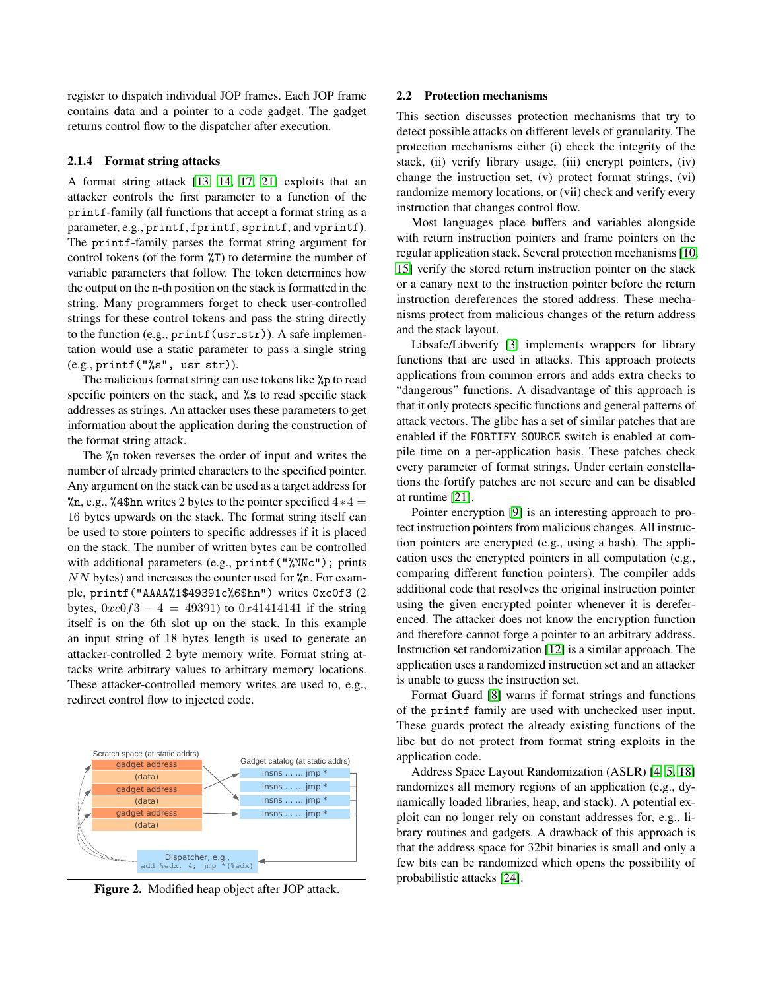register to dispatch individual JOP frames. Each JOP frame contains data and a pointer to a code gadget. The gadget returns control flow to the dispatcher after execution.

#### 2.1.4 Format string attacks

A format string attack [\[13,](#page-8-15) [14,](#page-8-16) [17,](#page-8-17) [21\]](#page-8-18) exploits that an attacker controls the first parameter to a function of the printf-family (all functions that accept a format string as a parameter, e.g., printf, fprintf, sprintf, and vprintf). The printf-family parses the format string argument for control tokens (of the form %T) to determine the number of variable parameters that follow. The token determines how the output on the n-th position on the stack is formatted in the string. Many programmers forget to check user-controlled strings for these control tokens and pass the string directly to the function (e.g., printf(usr\_str)). A safe implementation would use a static parameter to pass a single string  $(e.g., printf("%s",usr_str)).$ 

The malicious format string can use tokens like %p to read specific pointers on the stack, and  $\%$ s to read specific stack addresses as strings. An attacker uses these parameters to get information about the application during the construction of the format string attack.

The %n token reverses the order of input and writes the number of already printed characters to the specified pointer. Any argument on the stack can be used as a target address for %n, e.g., %4\$hn writes 2 bytes to the pointer specified  $4*4 =$ 16 bytes upwards on the stack. The format string itself can be used to store pointers to specific addresses if it is placed on the stack. The number of written bytes can be controlled with additional parameters (e.g., printf("%NNc"); prints  $NN$  bytes) and increases the counter used for  $\lambda$ n. For example, printf("AAAA%1\$49391c%6\$hn") writes 0xc0f3 (2 bytes,  $0xc0f3 - 4 = 49391$  to  $0x41414141$  if the string itself is on the 6th slot up on the stack. In this example an input string of 18 bytes length is used to generate an attacker-controlled 2 byte memory write. Format string attacks write arbitrary values to arbitrary memory locations. These attacker-controlled memory writes are used to, e.g., redirect control flow to injected code.



<span id="page-3-0"></span>Figure 2. Modified heap object after JOP attack.

#### 2.2 Protection mechanisms

This section discusses protection mechanisms that try to detect possible attacks on different levels of granularity. The protection mechanisms either (i) check the integrity of the stack, (ii) verify library usage, (iii) encrypt pointers, (iv) change the instruction set, (v) protect format strings, (vi) randomize memory locations, or (vii) check and verify every instruction that changes control flow.

Most languages place buffers and variables alongside with return instruction pointers and frame pointers on the regular application stack. Several protection mechanisms [\[10,](#page-8-19) [15\]](#page-8-1) verify the stored return instruction pointer on the stack or a canary next to the instruction pointer before the return instruction dereferences the stored address. These mechanisms protect from malicious changes of the return address and the stack layout.

Libsafe/Libverify [\[3\]](#page-8-20) implements wrappers for library functions that are used in attacks. This approach protects applications from common errors and adds extra checks to "dangerous" functions. A disadvantage of this approach is that it only protects specific functions and general patterns of attack vectors. The glibc has a set of similar patches that are enabled if the FORTIFY SOURCE switch is enabled at compile time on a per-application basis. These patches check every parameter of format strings. Under certain constellations the fortify patches are not secure and can be disabled at runtime [\[21\]](#page-8-18).

Pointer encryption [\[9\]](#page-8-21) is an interesting approach to protect instruction pointers from malicious changes. All instruction pointers are encrypted (e.g., using a hash). The application uses the encrypted pointers in all computation (e.g., comparing different function pointers). The compiler adds additional code that resolves the original instruction pointer using the given encrypted pointer whenever it is dereferenced. The attacker does not know the encryption function and therefore cannot forge a pointer to an arbitrary address. Instruction set randomization [\[12\]](#page-8-22) is a similar approach. The application uses a randomized instruction set and an attacker is unable to guess the instruction set.

Format Guard [\[8\]](#page-8-23) warns if format strings and functions of the printf family are used with unchecked user input. These guards protect the already existing functions of the libc but do not protect from format string exploits in the application code.

Address Space Layout Randomization (ASLR) [\[4,](#page-8-2) [5,](#page-8-3) [18\]](#page-8-4) randomizes all memory regions of an application (e.g., dynamically loaded libraries, heap, and stack). A potential exploit can no longer rely on constant addresses for, e.g., library routines and gadgets. A drawback of this approach is that the address space for 32bit binaries is small and only a few bits can be randomized which opens the possibility of probabilistic attacks [\[24\]](#page-8-24).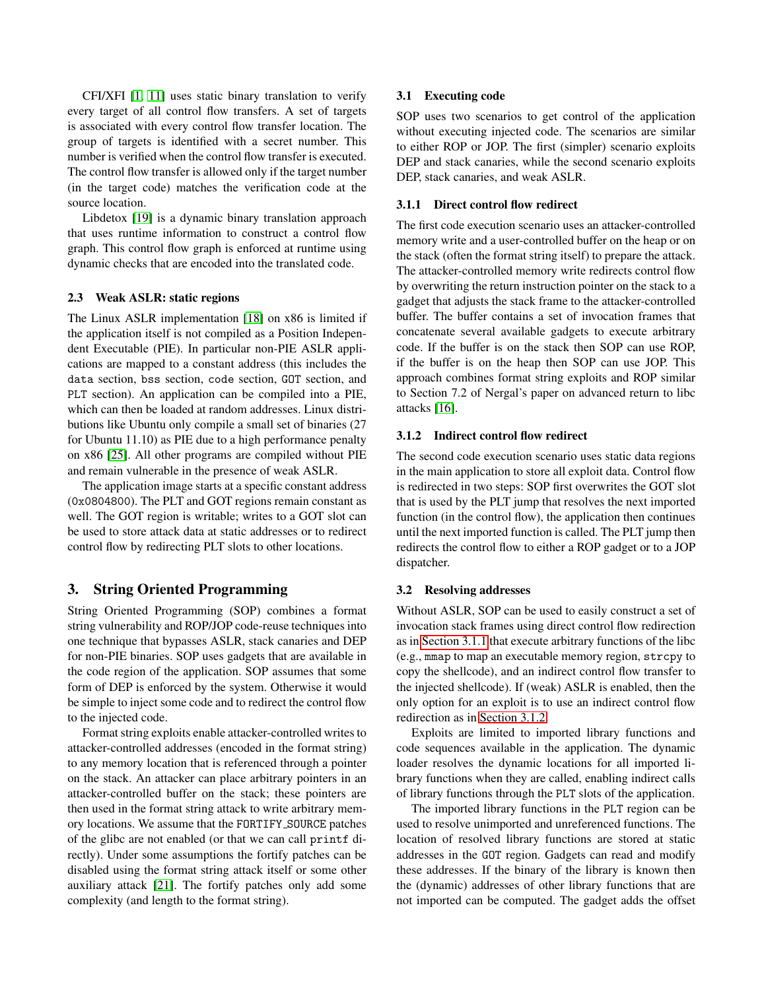CFI/XFI [\[1,](#page-8-8) [11\]](#page-8-9) uses static binary translation to verify every target of all control flow transfers. A set of targets is associated with every control flow transfer location. The group of targets is identified with a secret number. This number is verified when the control flow transfer is executed. The control flow transfer is allowed only if the target number (in the target code) matches the verification code at the source location.

Libdetox [\[19\]](#page-8-7) is a dynamic binary translation approach that uses runtime information to construct a control flow graph. This control flow graph is enforced at runtime using dynamic checks that are encoded into the translated code.

#### 2.3 Weak ASLR: static regions

The Linux ASLR implementation [\[18\]](#page-8-4) on x86 is limited if the application itself is not compiled as a Position Independent Executable (PIE). In particular non-PIE ASLR applications are mapped to a constant address (this includes the data section, bss section, code section, GOT section, and PLT section). An application can be compiled into a PIE, which can then be loaded at random addresses. Linux distributions like Ubuntu only compile a small set of binaries (27 for Ubuntu 11.10) as PIE due to a high performance penalty on x86 [\[25\]](#page-8-25). All other programs are compiled without PIE and remain vulnerable in the presence of weak ASLR.

The application image starts at a specific constant address (0x0804800). The PLT and GOT regions remain constant as well. The GOT region is writable; writes to a GOT slot can be used to store attack data at static addresses or to redirect control flow by redirecting PLT slots to other locations.

# 3. String Oriented Programming

String Oriented Programming (SOP) combines a format string vulnerability and ROP/JOP code-reuse techniques into one technique that bypasses ASLR, stack canaries and DEP for non-PIE binaries. SOP uses gadgets that are available in the code region of the application. SOP assumes that some form of DEP is enforced by the system. Otherwise it would be simple to inject some code and to redirect the control flow to the injected code.

Format string exploits enable attacker-controlled writes to attacker-controlled addresses (encoded in the format string) to any memory location that is referenced through a pointer on the stack. An attacker can place arbitrary pointers in an attacker-controlled buffer on the stack; these pointers are then used in the format string attack to write arbitrary memory locations. We assume that the FORTIFY SOURCE patches of the glibc are not enabled (or that we can call printf directly). Under some assumptions the fortify patches can be disabled using the format string attack itself or some other auxiliary attack [\[21\]](#page-8-18). The fortify patches only add some complexity (and length to the format string).

# 3.1 Executing code

SOP uses two scenarios to get control of the application without executing injected code. The scenarios are similar to either ROP or JOP. The first (simpler) scenario exploits DEP and stack canaries, while the second scenario exploits DEP, stack canaries, and weak ASLR.

# <span id="page-4-0"></span>3.1.1 Direct control flow redirect

The first code execution scenario uses an attacker-controlled memory write and a user-controlled buffer on the heap or on the stack (often the format string itself) to prepare the attack. The attacker-controlled memory write redirects control flow by overwriting the return instruction pointer on the stack to a gadget that adjusts the stack frame to the attacker-controlled buffer. The buffer contains a set of invocation frames that concatenate several available gadgets to execute arbitrary code. If the buffer is on the stack then SOP can use ROP, if the buffer is on the heap then SOP can use JOP. This approach combines format string exploits and ROP similar to Section 7.2 of Nergal's paper on advanced return to libc attacks [\[16\]](#page-8-12).

#### <span id="page-4-1"></span>3.1.2 Indirect control flow redirect

The second code execution scenario uses static data regions in the main application to store all exploit data. Control flow is redirected in two steps: SOP first overwrites the GOT slot that is used by the PLT jump that resolves the next imported function (in the control flow), the application then continues until the next imported function is called. The PLT jump then redirects the control flow to either a ROP gadget or to a JOP dispatcher.

#### <span id="page-4-2"></span>3.2 Resolving addresses

Without ASLR, SOP can be used to easily construct a set of invocation stack frames using direct control flow redirection as in [Section 3.1.1](#page-4-0) that execute arbitrary functions of the libc (e.g., mmap to map an executable memory region, strcpy to copy the shellcode), and an indirect control flow transfer to the injected shellcode). If (weak) ASLR is enabled, then the only option for an exploit is to use an indirect control flow redirection as in [Section 3.1.2.](#page-4-1)

Exploits are limited to imported library functions and code sequences available in the application. The dynamic loader resolves the dynamic locations for all imported library functions when they are called, enabling indirect calls of library functions through the PLT slots of the application.

The imported library functions in the PLT region can be used to resolve unimported and unreferenced functions. The location of resolved library functions are stored at static addresses in the GOT region. Gadgets can read and modify these addresses. If the binary of the library is known then the (dynamic) addresses of other library functions that are not imported can be computed. The gadget adds the offset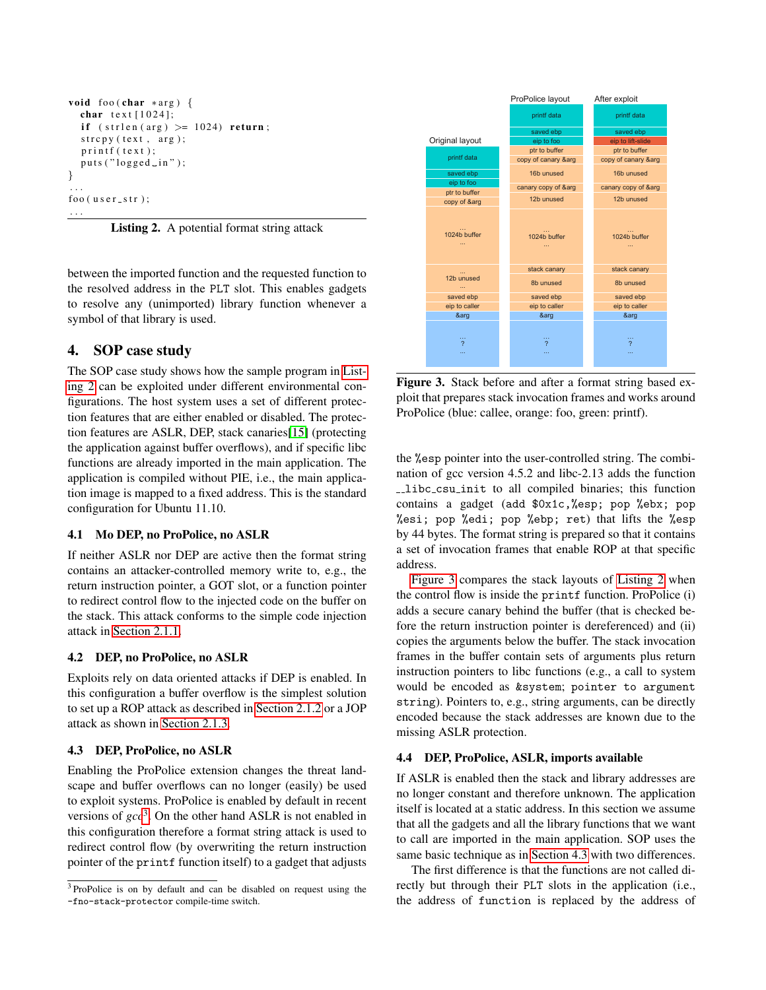```
void foo (char *arg) {
  char text [1024];if (\text{strlen}(\text{arg}) \geq 1024) return;
  strcpy (text, arg);
  print(f (text);puts ("logged_in");}
. . .
foo (user str);. . .
```
Listing 2. A potential format string attack

between the imported function and the requested function to the resolved address in the PLT slot. This enables gadgets to resolve any (unimported) library function whenever a symbol of that library is used.

# 4. SOP case study

The SOP case study shows how the sample program in [List](#page-5-0)[ing 2](#page-5-0) can be exploited under different environmental configurations. The host system uses a set of different protection features that are either enabled or disabled. The protection features are ASLR, DEP, stack canaries[\[15\]](#page-8-1) (protecting the application against buffer overflows), and if specific libc functions are already imported in the main application. The application is compiled without PIE, i.e., the main application image is mapped to a fixed address. This is the standard configuration for Ubuntu 11.10.

#### 4.1 Mo DEP, no ProPolice, no ASLR

If neither ASLR nor DEP are active then the format string contains an attacker-controlled memory write to, e.g., the return instruction pointer, a GOT slot, or a function pointer to redirect control flow to the injected code on the buffer on the stack. This attack conforms to the simple code injection attack in [Section 2.1.1.](#page-2-2)

# 4.2 DEP, no ProPolice, no ASLR

Exploits rely on data oriented attacks if DEP is enabled. In this configuration a buffer overflow is the simplest solution to set up a ROP attack as described in [Section 2.1.2](#page-2-3) or a JOP attack as shown in [Section 2.1.3.](#page-2-4)

# <span id="page-5-3"></span>4.3 DEP, ProPolice, no ASLR

Enabling the ProPolice extension changes the threat landscape and buffer overflows can no longer (easily) be used to exploit systems. ProPolice is enabled by default in recent versions of  $\text{gcc}^3$  $\text{gcc}^3$ . On the other hand ASLR is not enabled in this configuration therefore a format string attack is used to redirect control flow (by overwriting the return instruction pointer of the printf function itself) to a gadget that adjusts



<span id="page-5-2"></span>Figure 3. Stack before and after a format string based exploit that prepares stack invocation frames and works around ProPolice (blue: callee, orange: foo, green: printf).

the %esp pointer into the user-controlled string. The combination of gcc version 4.5.2 and libc-2.13 adds the function libc csu init to all compiled binaries; this function contains a gadget (add \$0x1c,%esp; pop %ebx; pop %esi; pop %edi; pop %ebp; ret) that lifts the %esp by 44 bytes. The format string is prepared so that it contains a set of invocation frames that enable ROP at that specific address.

[Figure 3](#page-5-2) compares the stack layouts of [Listing 2](#page-5-0) when the control flow is inside the printf function. ProPolice (i) adds a secure canary behind the buffer (that is checked before the return instruction pointer is dereferenced) and (ii) copies the arguments below the buffer. The stack invocation frames in the buffer contain sets of arguments plus return instruction pointers to libc functions (e.g., a call to system would be encoded as &system; pointer to argument string). Pointers to, e.g., string arguments, can be directly encoded because the stack addresses are known due to the missing ASLR protection.

#### 4.4 DEP, ProPolice, ASLR, imports available

If ASLR is enabled then the stack and library addresses are no longer constant and therefore unknown. The application itself is located at a static address. In this section we assume that all the gadgets and all the library functions that we want to call are imported in the main application. SOP uses the same basic technique as in [Section 4.3](#page-5-3) with two differences.

The first difference is that the functions are not called directly but through their PLT slots in the application (i.e., the address of function is replaced by the address of

<span id="page-5-1"></span><sup>3</sup> ProPolice is on by default and can be disabled on request using the -fno-stack-protector compile-time switch.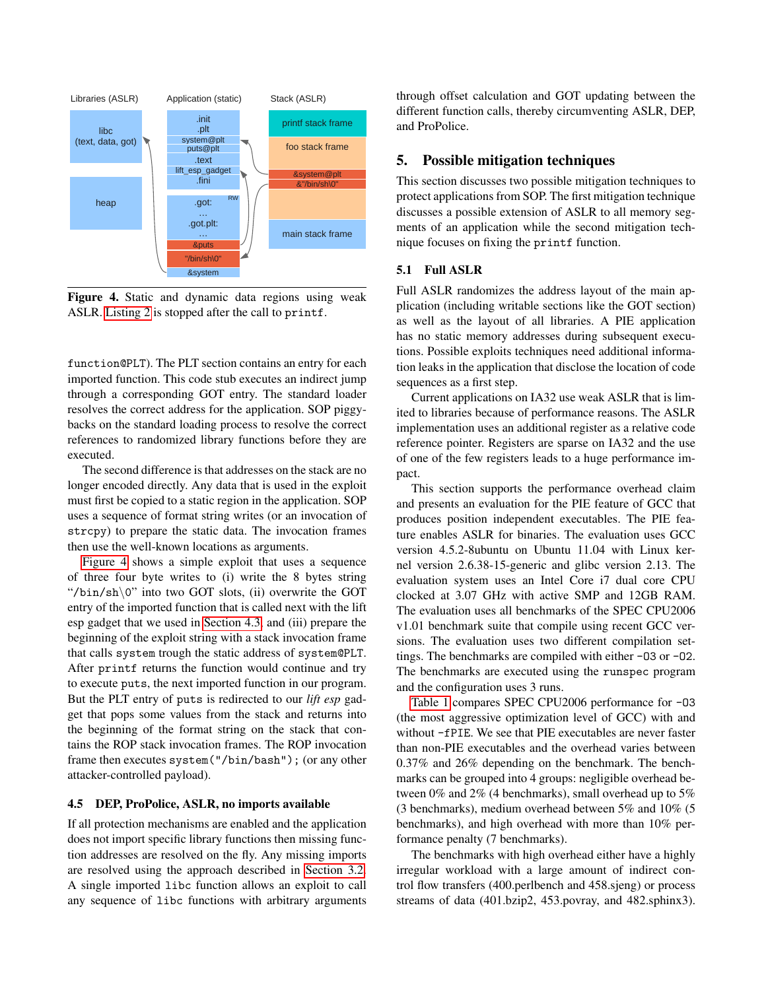

<span id="page-6-0"></span>Figure 4. Static and dynamic data regions using weak ASLR. [Listing 2](#page-5-0) is stopped after the call to printf.

function@PLT). The PLT section contains an entry for each imported function. This code stub executes an indirect jump through a corresponding GOT entry. The standard loader resolves the correct address for the application. SOP piggybacks on the standard loading process to resolve the correct references to randomized library functions before they are executed.

The second difference is that addresses on the stack are no longer encoded directly. Any data that is used in the exploit must first be copied to a static region in the application. SOP uses a sequence of format string writes (or an invocation of strcpy) to prepare the static data. The invocation frames then use the well-known locations as arguments.

[Figure 4](#page-6-0) shows a simple exploit that uses a sequence of three four byte writes to (i) write the 8 bytes string "/bin/sh $\0$ " into two GOT slots, (ii) overwrite the GOT entry of the imported function that is called next with the lift esp gadget that we used in [Section 4.3,](#page-5-3) and (iii) prepare the beginning of the exploit string with a stack invocation frame that calls system trough the static address of system@PLT. After printf returns the function would continue and try to execute puts, the next imported function in our program. But the PLT entry of puts is redirected to our *lift esp* gadget that pops some values from the stack and returns into the beginning of the format string on the stack that contains the ROP stack invocation frames. The ROP invocation frame then executes system("/bin/bash"); (or any other attacker-controlled payload).

## 4.5 DEP, ProPolice, ASLR, no imports available

If all protection mechanisms are enabled and the application does not import specific library functions then missing function addresses are resolved on the fly. Any missing imports are resolved using the approach described in [Section 3.2.](#page-4-2) A single imported libc function allows an exploit to call any sequence of libc functions with arbitrary arguments

through offset calculation and GOT updating between the different function calls, thereby circumventing ASLR, DEP, and ProPolice.

# 5. Possible mitigation techniques

This section discusses two possible mitigation techniques to protect applications from SOP. The first mitigation technique discusses a possible extension of ASLR to all memory segments of an application while the second mitigation technique focuses on fixing the printf function.

#### 5.1 Full ASLR

Full ASLR randomizes the address layout of the main application (including writable sections like the GOT section) as well as the layout of all libraries. A PIE application has no static memory addresses during subsequent executions. Possible exploits techniques need additional information leaks in the application that disclose the location of code sequences as a first step.

Current applications on IA32 use weak ASLR that is limited to libraries because of performance reasons. The ASLR implementation uses an additional register as a relative code reference pointer. Registers are sparse on IA32 and the use of one of the few registers leads to a huge performance impact.

This section supports the performance overhead claim and presents an evaluation for the PIE feature of GCC that produces position independent executables. The PIE feature enables ASLR for binaries. The evaluation uses GCC version 4.5.2-8ubuntu on Ubuntu 11.04 with Linux kernel version 2.6.38-15-generic and glibc version 2.13. The evaluation system uses an Intel Core i7 dual core CPU clocked at 3.07 GHz with active SMP and 12GB RAM. The evaluation uses all benchmarks of the SPEC CPU2006 v1.01 benchmark suite that compile using recent GCC versions. The evaluation uses two different compilation settings. The benchmarks are compiled with either -O3 or -O2. The benchmarks are executed using the runspec program and the configuration uses 3 runs.

[Table 1](#page-7-0) compares SPEC CPU2006 performance for -O3 (the most aggressive optimization level of GCC) with and without -fPIE. We see that PIE executables are never faster than non-PIE executables and the overhead varies between 0.37% and 26% depending on the benchmark. The benchmarks can be grouped into 4 groups: negligible overhead between 0% and 2% (4 benchmarks), small overhead up to 5% (3 benchmarks), medium overhead between 5% and 10% (5 benchmarks), and high overhead with more than 10% performance penalty (7 benchmarks).

The benchmarks with high overhead either have a highly irregular workload with a large amount of indirect control flow transfers (400.perlbench and 458.sjeng) or process streams of data (401.bzip2, 453.povray, and 482.sphinx3).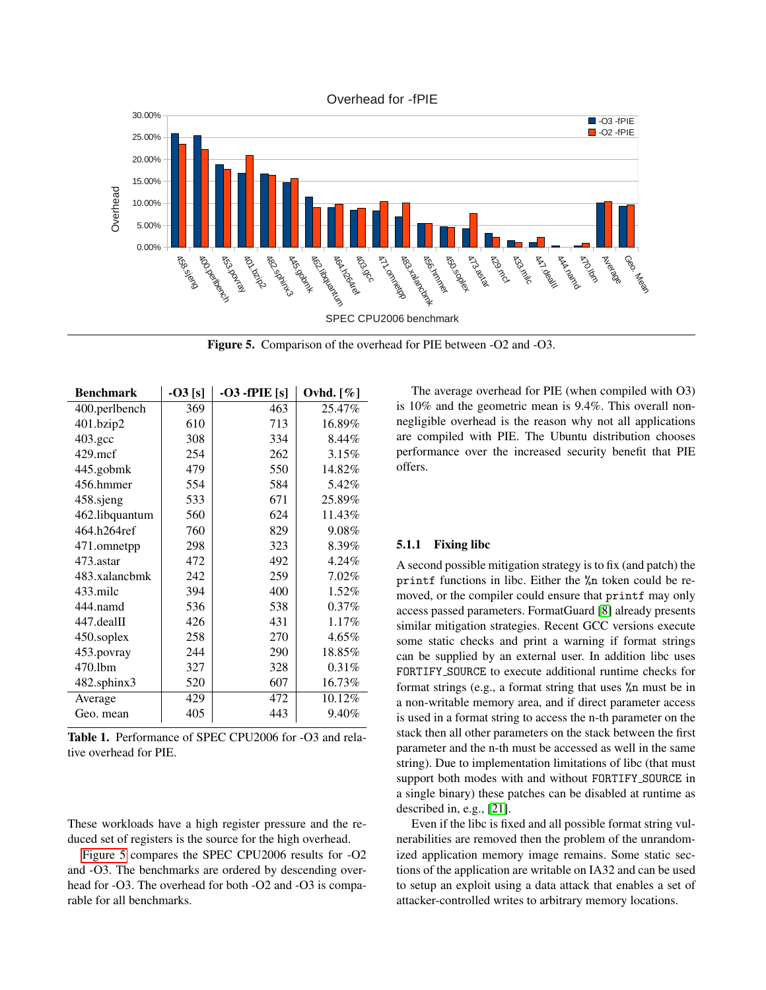

<span id="page-7-1"></span>Figure 5. Comparison of the overhead for PIE between -O2 and -O3.

| <b>Benchmark</b>   | $-03$ [s] | $-03$ -fPIE [s] | Ovhd. [%] |
|--------------------|-----------|-----------------|-----------|
| 400.perlbench      | 369       | 463             | 25.47%    |
| 401.bzip2          | 610       | 713             | 16.89%    |
| $403.\mathrm{gcc}$ | 308       | 334             | 8.44%     |
| $429$ .mcf         | 254       | 262             | 3.15%     |
| 445.gobmk          | 479       | 550             | 14.82%    |
| 456.hmmer          | 554       | 584             | 5.42%     |
| 458.sjeng          | 533       | 671             | 25.89%    |
| 462.libquantum     | 560       | 624             | 11.43%    |
| 464.h264ref        | 760       | 829             | $9.08\%$  |
| 471.omnetpp        | 298       | 323             | 8.39%     |
| 473.astar          | 472       | 492             | 4.24%     |
| 483.xalancbmk      | 242       | 259             | 7.02%     |
| 433.milc           | 394       | 400             | 1.52%     |
| 444.namd           | 536       | 538             | $0.37\%$  |
| 447.dealII         | 426       | 431             | 1.17%     |
| 450.soplex         | 258       | 270             | 4.65%     |
| 453.povray         | 244       | 290             | 18.85%    |
| 470.1bm            | 327       | 328             | 0.31%     |
| 482.sphinx3        | 520       | 607             | 16.73%    |
| Average            | 429       | 472             | 10.12%    |
| Geo. mean          | 405       | 443             | 9.40%     |

<span id="page-7-0"></span>Table 1. Performance of SPEC CPU2006 for -O3 and relative overhead for PIE.

These workloads have a high register pressure and the reduced set of registers is the source for the high overhead.

[Figure 5](#page-7-1) compares the SPEC CPU2006 results for -O2 and -O3. The benchmarks are ordered by descending overhead for -O3. The overhead for both -O2 and -O3 is comparable for all benchmarks.

The average overhead for PIE (when compiled with O3) is 10% and the geometric mean is 9.4%. This overall nonnegligible overhead is the reason why not all applications are compiled with PIE. The Ubuntu distribution chooses performance over the increased security benefit that PIE offers.

## 5.1.1 Fixing libc

A second possible mitigation strategy is to fix (and patch) the printf functions in libc. Either the %n token could be removed, or the compiler could ensure that printf may only access passed parameters. FormatGuard [\[8\]](#page-8-23) already presents similar mitigation strategies. Recent GCC versions execute some static checks and print a warning if format strings can be supplied by an external user. In addition libc uses FORTIFY SOURCE to execute additional runtime checks for format strings (e.g., a format string that uses %n must be in a non-writable memory area, and if direct parameter access is used in a format string to access the n-th parameter on the stack then all other parameters on the stack between the first parameter and the n-th must be accessed as well in the same string). Due to implementation limitations of libc (that must support both modes with and without FORTIFY SOURCE in a single binary) these patches can be disabled at runtime as described in, e.g., [\[21\]](#page-8-18).

Even if the libc is fixed and all possible format string vulnerabilities are removed then the problem of the unrandomized application memory image remains. Some static sections of the application are writable on IA32 and can be used to setup an exploit using a data attack that enables a set of attacker-controlled writes to arbitrary memory locations.